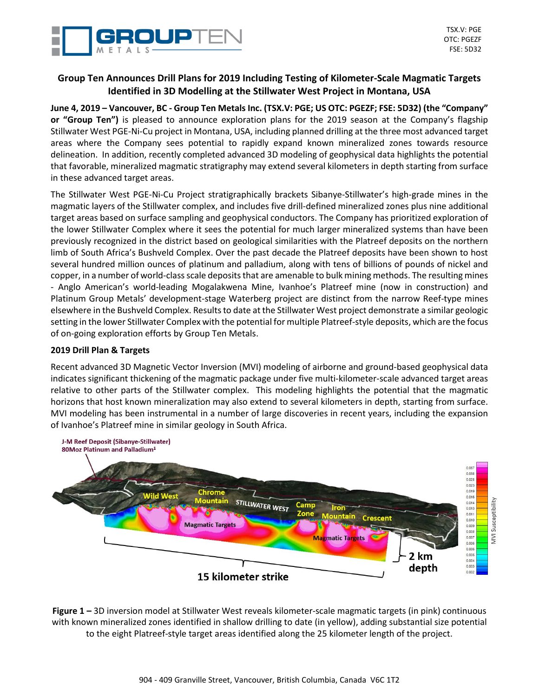

# **Group Ten Announces Drill Plans for 2019 Including Testing of Kilometer-Scale Magmatic Targets Identified in 3D Modelling at the Stillwater West Project in Montana, USA**

**June 4, 2019 – Vancouver, BC - Group Ten Metals Inc. (TSX.V: PGE; US OTC: PGEZF; FSE: 5D32) (the "Company" or "Group Ten")** is pleased to announce exploration plans for the 2019 season at the Company's flagship Stillwater West PGE-Ni-Cu project in Montana, USA, including planned drilling at the three most advanced target areas where the Company sees potential to rapidly expand known mineralized zones towards resource delineation. In addition, recently completed advanced 3D modeling of geophysical data highlights the potential that favorable, mineralized magmatic stratigraphy may extend several kilometers in depth starting from surface in these advanced target areas.

The Stillwater West PGE-Ni-Cu Project stratigraphically brackets Sibanye-Stillwater's high-grade mines in the magmatic layers of the Stillwater complex, and includes five drill-defined mineralized zones plus nine additional target areas based on surface sampling and geophysical conductors. The Company has prioritized exploration of the lower Stillwater Complex where it sees the potential for much larger mineralized systems than have been previously recognized in the district based on geological similarities with the Platreef deposits on the northern limb of South Africa's Bushveld Complex. Over the past decade the Platreef deposits have been shown to host several hundred million ounces of platinum and palladium, along with tens of billions of pounds of nickel and copper, in a number of world-class scale deposits that are amenable to bulk mining methods. The resulting mines - Anglo American's world-leading Mogalakwena Mine, Ivanhoe's Platreef mine (now in construction) and Platinum Group Metals' development-stage Waterberg project are distinct from the narrow Reef-type mines elsewhere in the Bushveld Complex. Results to date at the Stillwater West project demonstrate a similar geologic setting in the lower Stillwater Complex with the potential for multiple Platreef-style deposits, which are the focus of on-going exploration efforts by Group Ten Metals.

## **2019 Drill Plan & Targets**

Recent advanced 3D Magnetic Vector Inversion (MVI) modeling of airborne and ground-based geophysical data indicates significant thickening of the magmatic package under five multi-kilometer-scale advanced target areas relative to other parts of the Stillwater complex. This modeling highlights the potential that the magmatic horizons that host known mineralization may also extend to several kilometers in depth, starting from surface. MVI modeling has been instrumental in a number of large discoveries in recent years, including the expansion of Ivanhoe's Platreef mine in similar geology in South Africa.



**Figure 1 –** 3D inversion model at Stillwater West reveals kilometer-scale magmatic targets (in pink) continuous with known mineralized zones identified in shallow drilling to date (in yellow), adding substantial size potential to the eight Platreef-style target areas identified along the 25 kilometer length of the project.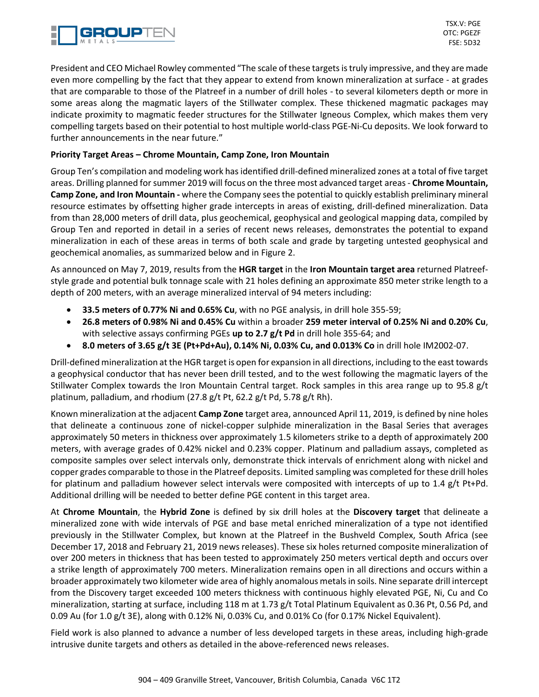

President and CEO Michael Rowley commented "The scale of these targets is truly impressive, and they are made even more compelling by the fact that they appear to extend from known mineralization at surface - at grades that are comparable to those of the Platreef in a number of drill holes - to several kilometers depth or more in some areas along the magmatic layers of the Stillwater complex. These thickened magmatic packages may indicate proximity to magmatic feeder structures for the Stillwater Igneous Complex, which makes them very compelling targets based on their potential to host multiple world-class PGE-Ni-Cu deposits. We look forward to further announcements in the near future."

## **Priority Target Areas – Chrome Mountain, Camp Zone, Iron Mountain**

Group Ten's compilation and modeling work has identified drill-defined mineralized zones at a total of five target areas. Drilling planned for summer 2019 will focus on the three most advanced target areas - **Chrome Mountain, Camp Zone, and Iron Mountain -** where the Company sees the potential to quickly establish preliminary mineral resource estimates by offsetting higher grade intercepts in areas of existing, drill-defined mineralization. Data from than 28,000 meters of drill data, plus geochemical, geophysical and geological mapping data, compiled by Group Ten and reported in detail in a series of recent news releases, demonstrates the potential to expand mineralization in each of these areas in terms of both scale and grade by targeting untested geophysical and geochemical anomalies, as summarized below and in Figure 2.

As announced on May 7, 2019, results from the **HGR target** in the **Iron Mountain target area** returned Platreefstyle grade and potential bulk tonnage scale with 21 holes defining an approximate 850 meter strike length to a depth of 200 meters, with an average mineralized interval of 94 meters including:

- **33.5 meters of 0.77% Ni and 0.65% Cu**, with no PGE analysis, in drill hole 355-59;
- **26.8 meters of 0.98% Ni and 0.45% Cu** within a broader **259 meter interval of 0.25% Ni and 0.20% Cu**, with selective assays confirming PGEs **up to 2.7 g/t Pd** in drill hole 355-64; and
- **8.0 meters of 3.65 g/t 3E (Pt+Pd+Au), 0.14% Ni, 0.03% Cu, and 0.013% Co** in drill hole IM2002-07.

Drill-defined mineralization at the HGR target is open for expansion in all directions, including to the east towards a geophysical conductor that has never been drill tested, and to the west following the magmatic layers of the Stillwater Complex towards the Iron Mountain Central target. Rock samples in this area range up to 95.8 g/t platinum, palladium, and rhodium (27.8 g/t Pt, 62.2 g/t Pd, 5.78 g/t Rh).

Known mineralization at the adjacent **Camp Zone** target area, announced April 11, 2019, is defined by nine holes that delineate a continuous zone of nickel-copper sulphide mineralization in the Basal Series that averages approximately 50 meters in thickness over approximately 1.5 kilometers strike to a depth of approximately 200 meters, with average grades of 0.42% nickel and 0.23% copper. Platinum and palladium assays, completed as composite samples over select intervals only, demonstrate thick intervals of enrichment along with nickel and copper grades comparable to those in the Platreef deposits. Limited sampling was completed for these drill holes for platinum and palladium however select intervals were composited with intercepts of up to 1.4 g/t Pt+Pd. Additional drilling will be needed to better define PGE content in this target area.

At **Chrome Mountain**, the **Hybrid Zone** is defined by six drill holes at the **Discovery target** that delineate a mineralized zone with wide intervals of PGE and base metal enriched mineralization of a type not identified previously in the Stillwater Complex, but known at the Platreef in the Bushveld Complex, South Africa (see December 17, 2018 and February 21, 2019 news releases). These six holes returned composite mineralization of over 200 meters in thickness that has been tested to approximately 250 meters vertical depth and occurs over a strike length of approximately 700 meters. Mineralization remains open in all directions and occurs within a broader approximately two kilometer wide area of highly anomalous metals in soils. Nine separate drill intercept from the Discovery target exceeded 100 meters thickness with continuous highly elevated PGE, Ni, Cu and Co mineralization, starting at surface, including 118 m at 1.73 g/t Total Platinum Equivalent as 0.36 Pt, 0.56 Pd, and 0.09 Au (for 1.0 g/t 3E), along with 0.12% Ni, 0.03% Cu, and 0.01% Co (for 0.17% Nickel Equivalent).

Field work is also planned to advance a number of less developed targets in these areas, including high-grade intrusive dunite targets and others as detailed in the above-referenced news releases.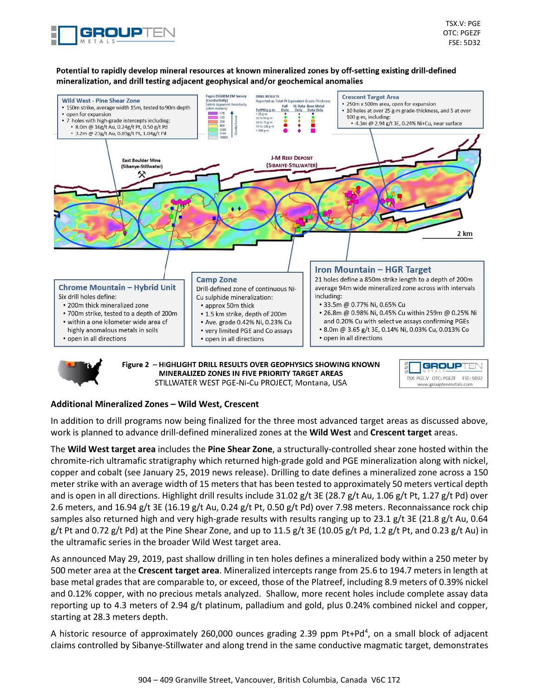

#### Potential to rapidly develop mineral resources at known mineralized zones by off-setting existing drill-defined mineralization, and drill testing adjacent geophysical and/or geochemical anomalies



MINERALIZED ZONES IN FIVE PRIORITY TARGET AREAS STILLWATER WEST PGE-Ni-Cu PROJECT, Montana, USA



#### **Additional Mineralized Zones – Wild West, Crescent**

In addition to drill programs now being finalized for the three most advanced target areas as discussed above, work is planned to advance drill-defined mineralized zones at the **Wild West** and **Crescent target** areas.

The **Wild West target area** includes the **Pine Shear Zone**, a structurally-controlled shear zone hosted within the chromite-rich ultramafic stratigraphy which returned high-grade gold and PGE mineralization along with nickel, copper and cobalt (see January 25, 2019 news release). Drilling to date defines a mineralized zone across a 150 meter strike with an average width of 15 meters that has been tested to approximately 50 meters vertical depth and is open in all directions. Highlight drill results include 31.02 g/t 3E (28.7 g/t Au, 1.06 g/t Pt, 1.27 g/t Pd) over 2.6 meters, and 16.94 g/t 3E (16.19 g/t Au, 0.24 g/t Pt, 0.50 g/t Pd) over 7.98 meters. Reconnaissance rock chip samples also returned high and very high-grade results with results ranging up to 23.1 g/t 3E (21.8 g/t Au, 0.64 g/t Pt and 0.72 g/t Pd) at the Pine Shear Zone, and up to 11.5 g/t 3E (10.05 g/t Pd, 1.2 g/t Pt, and 0.23 g/t Au) in the ultramafic series in the broader Wild West target area.

As announced May 29, 2019, past shallow drilling in ten holes defines a mineralized body within a 250 meter by 500 meter area at the **Crescent target area**. Mineralized intercepts range from 25.6 to 194.7 meters in length at base metal grades that are comparable to, or exceed, those of the Platreef, including 8.9 meters of 0.39% nickel and 0.12% copper, with no precious metals analyzed. Shallow, more recent holes include complete assay data reporting up to 4.3 meters of 2.94 g/t platinum, palladium and gold, plus 0.24% combined nickel and copper, starting at 28.3 meters depth.

A historic resource of approximately 260,000 ounces grading 2.39 ppm Pt+Pd<sup>4</sup>, on a small block of adjacent claims controlled by Sibanye-Stillwater and along trend in the same conductive magmatic target, demonstrates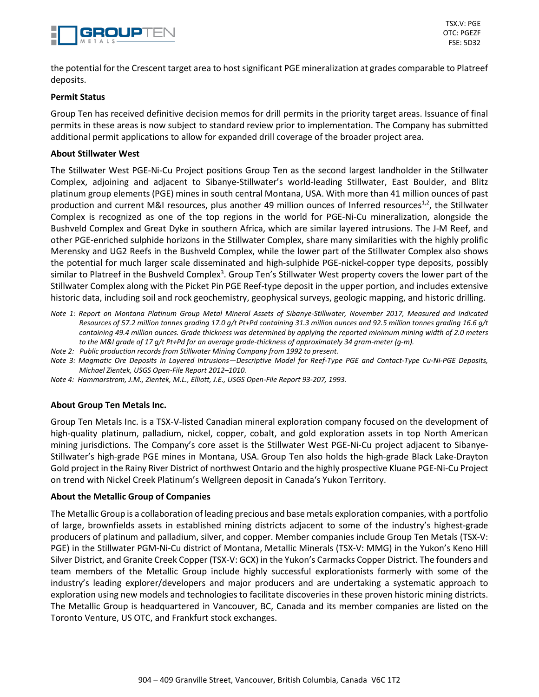

the potential for the Crescent target area to host significant PGE mineralization at grades comparable to Platreef deposits.

### **Permit Status**

Group Ten has received definitive decision memos for drill permits in the priority target areas. Issuance of final permits in these areas is now subject to standard review prior to implementation. The Company has submitted additional permit applications to allow for expanded drill coverage of the broader project area.

### **About Stillwater West**

The Stillwater West PGE-Ni-Cu Project positions Group Ten as the second largest landholder in the Stillwater Complex, adjoining and adjacent to Sibanye-Stillwater's world-leading Stillwater, East Boulder, and Blitz platinum group elements (PGE) mines in south central Montana, USA. With more than 41 million ounces of past production and current M&I resources, plus another 49 million ounces of Inferred resources<sup>1,2</sup>, the Stillwater Complex is recognized as one of the top regions in the world for PGE-Ni-Cu mineralization, alongside the Bushveld Complex and Great Dyke in southern Africa, which are similar layered intrusions. The J-M Reef, and other PGE-enriched sulphide horizons in the Stillwater Complex, share many similarities with the highly prolific Merensky and UG2 Reefs in the Bushveld Complex, while the lower part of the Stillwater Complex also shows the potential for much larger scale disseminated and high-sulphide PGE-nickel-copper type deposits, possibly similar to Platreef in the Bushveld Complex<sup>3</sup>. Group Ten's Stillwater West property covers the lower part of the Stillwater Complex along with the Picket Pin PGE Reef-type deposit in the upper portion, and includes extensive historic data, including soil and rock geochemistry, geophysical surveys, geologic mapping, and historic drilling.

- Note 1: Report on Montana Platinum Group Metal Mineral Assets of Sibanye-Stillwater, November 2017, Measured and Indicated Resources of 57.2 million tonnes grading 17.0 g/t Pt+Pd containing 31.3 million ounces and 92.5 million tonnes grading 16.6 g/t containing 49.4 million ounces. Grade thickness was determined by applying the reported minimum mining width of 2.0 meters *to the M&I grade of 17 g/t Pt+Pd for an average grade-thickness of approximately 34 gram-meter (g-m).*
- *Note 2: Public production records from Stillwater Mining Company from 1992 to present.*
- Note 3: Magmatic Ore Deposits in Layered Intrusions-Descriptive Model for Reef-Type PGE and Contact-Type Cu-Ni-PGE Deposits, *Michael Zientek, USGS Open-File Report 2012–1010.*
- *Note 4: Hammarstrom, J.M., Zientek, M.L., Elliott, J.E., USGS Open-File Report 93-207, 1993.*

## **About Group Ten Metals Inc.**

Group Ten Metals Inc. is a TSX-V-listed Canadian mineral exploration company focused on the development of high-quality platinum, palladium, nickel, copper, cobalt, and gold exploration assets in top North American mining jurisdictions. The Company's core asset is the Stillwater West PGE-Ni-Cu project adjacent to Sibanye-Stillwater's high-grade PGE mines in Montana, USA. Group Ten also holds the high-grade Black Lake-Drayton Gold project in the Rainy River District of northwest Ontario and the highly prospective Kluane PGE-Ni-Cu Project on trend with Nickel Creek Platinum's Wellgreen deposit in Canada's Yukon Territory.

#### **About the Metallic Group of Companies**

The Metallic Group is a collaboration of leading precious and base metals exploration companies, with a portfolio of large, brownfields assets in established mining districts adjacent to some of the industry's highest-grade producers of platinum and palladium, silver, and copper. Member companies include Group Ten Metals (TSX-V: PGE) in the Stillwater PGM-Ni-Cu district of Montana, Metallic Minerals (TSX-V: MMG) in the Yukon's Keno Hill Silver District, and Granite Creek Copper (TSX-V: GCX) in the Yukon's Carmacks Copper District. The founders and team members of the Metallic Group include highly successful explorationists formerly with some of the industry's leading explorer/developers and major producers and are undertaking a systematic approach to exploration using new models and technologies to facilitate discoveries in these proven historic mining districts. The Metallic Group is headquartered in Vancouver, BC, Canada and its member companies are listed on the Toronto Venture, US OTC, and Frankfurt stock exchanges.